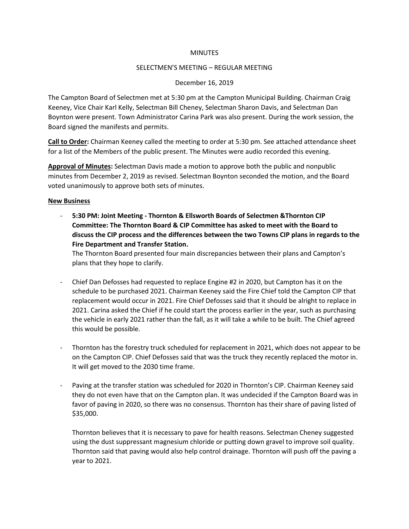#### **MINUTES**

#### SELECTMEN'S MEETING – REGULAR MEETING

#### December 16, 2019

The Campton Board of Selectmen met at 5:30 pm at the Campton Municipal Building. Chairman Craig Keeney, Vice Chair Karl Kelly, Selectman Bill Cheney, Selectman Sharon Davis, and Selectman Dan Boynton were present. Town Administrator Carina Park was also present. During the work session, the Board signed the manifests and permits.

**Call to Order:** Chairman Keeney called the meeting to order at 5:30 pm. See attached attendance sheet for a list of the Members of the public present. The Minutes were audio recorded this evening.

**Approval of Minutes:** Selectman Davis made a motion to approve both the public and nonpublic minutes from December 2, 2019 as revised. Selectman Boynton seconded the motion, and the Board voted unanimously to approve both sets of minutes.

#### **New Business**

- **5:30 PM: Joint Meeting - Thornton & Ellsworth Boards of Selectmen &Thornton CIP Committee: The Thornton Board & CIP Committee has asked to meet with the Board to discuss the CIP process and the differences between the two Towns CIP plans in regards to the Fire Department and Transfer Station.**

The Thornton Board presented four main discrepancies between their plans and Campton's plans that they hope to clarify.

- Chief Dan Defosses had requested to replace Engine #2 in 2020, but Campton has it on the schedule to be purchased 2021. Chairman Keeney said the Fire Chief told the Campton CIP that replacement would occur in 2021. Fire Chief Defosses said that it should be alright to replace in 2021. Carina asked the Chief if he could start the process earlier in the year, such as purchasing the vehicle in early 2021 rather than the fall, as it will take a while to be built. The Chief agreed this would be possible.
- Thornton has the forestry truck scheduled for replacement in 2021, which does not appear to be on the Campton CIP. Chief Defosses said that was the truck they recently replaced the motor in. It will get moved to the 2030 time frame.
- Paving at the transfer station was scheduled for 2020 in Thornton's CIP. Chairman Keeney said they do not even have that on the Campton plan. It was undecided if the Campton Board was in favor of paving in 2020, so there was no consensus. Thornton has their share of paving listed of \$35,000.

Thornton believes that it is necessary to pave for health reasons. Selectman Cheney suggested using the dust suppressant magnesium chloride or putting down gravel to improve soil quality. Thornton said that paving would also help control drainage. Thornton will push off the paving a year to 2021.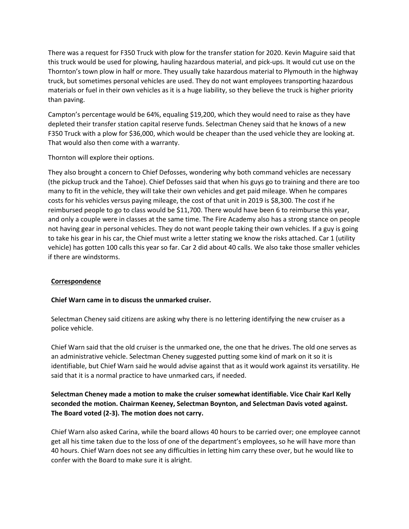There was a request for F350 Truck with plow for the transfer station for 2020. Kevin Maguire said that this truck would be used for plowing, hauling hazardous material, and pick-ups. It would cut use on the Thornton's town plow in half or more. They usually take hazardous material to Plymouth in the highway truck, but sometimes personal vehicles are used. They do not want employees transporting hazardous materials or fuel in their own vehicles as it is a huge liability, so they believe the truck is higher priority than paving.

Campton's percentage would be 64%, equaling \$19,200, which they would need to raise as they have depleted their transfer station capital reserve funds. Selectman Cheney said that he knows of a new F350 Truck with a plow for \$36,000, which would be cheaper than the used vehicle they are looking at. That would also then come with a warranty.

Thornton will explore their options.

They also brought a concern to Chief Defosses, wondering why both command vehicles are necessary (the pickup truck and the Tahoe). Chief Defosses said that when his guys go to training and there are too many to fit in the vehicle, they will take their own vehicles and get paid mileage. When he compares costs for his vehicles versus paying mileage, the cost of that unit in 2019 is \$8,300. The cost if he reimbursed people to go to class would be \$11,700. There would have been 6 to reimburse this year, and only a couple were in classes at the same time. The Fire Academy also has a strong stance on people not having gear in personal vehicles. They do not want people taking their own vehicles. If a guy is going to take his gear in his car, the Chief must write a letter stating we know the risks attached. Car 1 (utility vehicle) has gotten 100 calls this year so far. Car 2 did about 40 calls. We also take those smaller vehicles if there are windstorms.

# **Correspondence**

# **Chief Warn came in to discuss the unmarked cruiser.**

Selectman Cheney said citizens are asking why there is no lettering identifying the new cruiser as a police vehicle.

Chief Warn said that the old cruiser is the unmarked one, the one that he drives. The old one serves as an administrative vehicle. Selectman Cheney suggested putting some kind of mark on it so it is identifiable, but Chief Warn said he would advise against that as it would work against its versatility. He said that it is a normal practice to have unmarked cars, if needed.

# **Selectman Cheney made a motion to make the cruiser somewhat identifiable. Vice Chair Karl Kelly seconded the motion. Chairman Keeney, Selectman Boynton, and Selectman Davis voted against. The Board voted (2-3). The motion does not carry.**

Chief Warn also asked Carina, while the board allows 40 hours to be carried over; one employee cannot get all his time taken due to the loss of one of the department's employees, so he will have more than 40 hours. Chief Warn does not see any difficulties in letting him carry these over, but he would like to confer with the Board to make sure it is alright.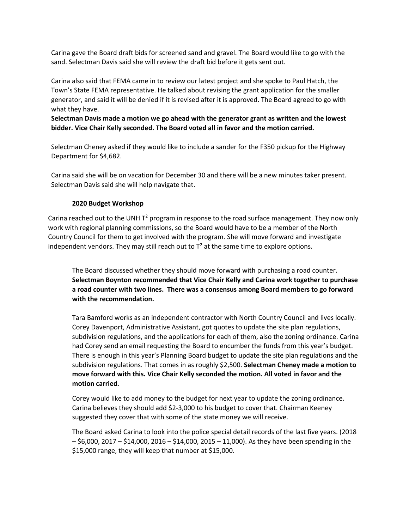Carina gave the Board draft bids for screened sand and gravel. The Board would like to go with the sand. Selectman Davis said she will review the draft bid before it gets sent out.

Carina also said that FEMA came in to review our latest project and she spoke to Paul Hatch, the Town's State FEMA representative. He talked about revising the grant application for the smaller generator, and said it will be denied if it is revised after it is approved. The Board agreed to go with what they have.

**Selectman Davis made a motion we go ahead with the generator grant as written and the lowest bidder. Vice Chair Kelly seconded. The Board voted all in favor and the motion carried.**

Selectman Cheney asked if they would like to include a sander for the F350 pickup for the Highway Department for \$4,682.

Carina said she will be on vacation for December 30 and there will be a new minutes taker present. Selectman Davis said she will help navigate that.

# **2020 Budget Workshop**

Carina reached out to the UNH  $T^2$  program in response to the road surface management. They now only work with regional planning commissions, so the Board would have to be a member of the North Country Council for them to get involved with the program. She will move forward and investigate independent vendors. They may still reach out to  $T^2$  at the same time to explore options.

The Board discussed whether they should move forward with purchasing a road counter. **Selectman Boynton recommended that Vice Chair Kelly and Carina work together to purchase a road counter with two lines. There was a consensus among Board members to go forward with the recommendation.**

Tara Bamford works as an independent contractor with North Country Council and lives locally. Corey Davenport, Administrative Assistant, got quotes to update the site plan regulations, subdivision regulations, and the applications for each of them, also the zoning ordinance. Carina had Corey send an email requesting the Board to encumber the funds from this year's budget. There is enough in this year's Planning Board budget to update the site plan regulations and the subdivision regulations. That comes in as roughly \$2,500. **Selectman Cheney made a motion to move forward with this. Vice Chair Kelly seconded the motion. All voted in favor and the motion carried.**

Corey would like to add money to the budget for next year to update the zoning ordinance. Carina believes they should add \$2-3,000 to his budget to cover that. Chairman Keeney suggested they cover that with some of the state money we will receive.

The Board asked Carina to look into the police special detail records of the last five years. (2018  $-$  \$6,000, 2017 – \$14,000, 2016 – \$14,000, 2015 – 11,000). As they have been spending in the \$15,000 range, they will keep that number at \$15,000.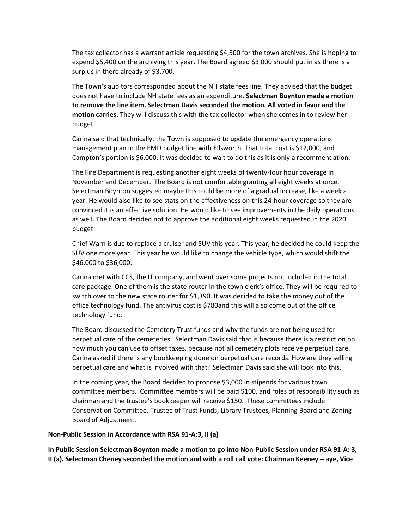The tax collector has a warrant article requesting \$4,500 for the town archives. She is hoping to expend \$5,400 on the archiving this year. The Board agreed \$3,000 should put in as there is a surplus in there already of \$3,700.

The Town's auditors corresponded about the NH state fees line. They advised that the budget does not have to include NH state fees as an expenditure. **Selectman Boynton made a motion to remove the line item. Selectman Davis seconded the motion. All voted in favor and the motion carries.** They will discuss this with the tax collector when she comes in to review her budget.

Carina said that technically, the Town is supposed to update the emergency operations management plan in the EMD budget line with Ellsworth. That total cost is \$12,000, and Campton's portion is \$6,000. It was decided to wait to do this as it is only a recommendation.

The Fire Department is requesting another eight weeks of twenty-four hour coverage in November and December. The Board is not comfortable granting all eight weeks at once. Selectman Boynton suggested maybe this could be more of a gradual increase, like a week a year. He would also like to see stats on the effectiveness on this 24-hour coverage so they are convinced it is an effective solution. He would like to see improvements in the daily operations as well. The Board decided not to approve the additional eight weeks requested in the 2020 budget.

Chief Warn is due to replace a cruiser and SUV this year. This year, he decided he could keep the SUV one more year. This year he would like to change the vehicle type, which would shift the \$46,000 to \$36,000.

Carina met with CCS, the IT company, and went over some projects not included in the total care package. One of them is the state router in the town clerk's office. They will be required to switch over to the new state router for \$1,390. It was decided to take the money out of the office technology fund. The antivirus cost is \$780and this will also come out of the office technology fund.

The Board discussed the Cemetery Trust funds and why the funds are not being used for perpetual care of the cemeteries. Selectman Davis said that is because there is a restriction on how much you can use to offset taxes, because not all cemetery plots receive perpetual care. Carina asked if there is any bookkeeping done on perpetual care records. How are they selling perpetual care and what is involved with that? Selectman Davis said she will look into this.

In the coming year, the Board decided to propose \$3,000 in stipends for various town committee members. Committee members will be paid \$100, and roles of responsibility such as chairman and the trustee's bookkeeper will receive \$150. These committees include Conservation Committee, Trustee of Trust Funds, Library Trustees, Planning Board and Zoning Board of Adjustment.

### **Non-Public Session in Accordance with RSA 91-A:3, II (a)**

**In Public Session Selectman Boynton made a motion to go into Non-Public Session under RSA 91-A: 3, II (a). Selectman Cheney seconded the motion and with a roll call vote: Chairman Keeney – aye, Vice**